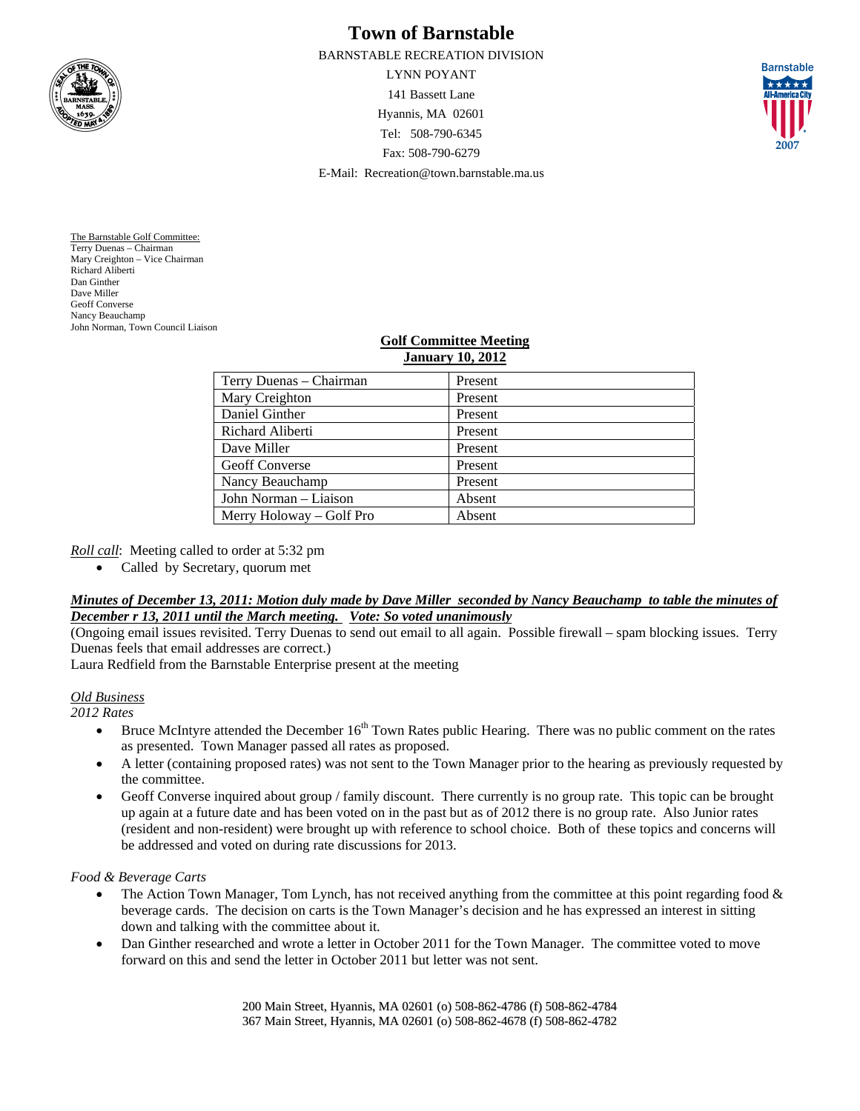

# **Town of Barnstable**

BARNSTABLE RECREATION DIVISION

LYNN POYANT 141 Bassett Lane Hyannis, MA 02601 Tel: 508-790-6345 Fax: 508-790-6279 E-Mail: Recreation@town.barnstable.ma.us



The Barnstable Golf Committee: Terry Duenas – Chairman Mary Creighton – Vice Chairman Richard Aliberti Dan Ginther Dave Miller Geoff Converse Nancy Beauchamp John Norman, Town Council Liaison

#### **Golf Committee Meeting January 10, 2012**

| Present |
|---------|
| Present |
| Present |
| Present |
| Present |
| Present |
| Present |
| Absent  |
| Absent  |
|         |

*Roll call*: Meeting called to order at 5:32 pm

Called by Secretary, quorum met

# *Minutes of December 13, 2011: Motion duly made by Dave Miller seconded by Nancy Beauchamp to table the minutes of December r 13, 2011 until the March meeting. Vote: So voted unanimously*

(Ongoing email issues revisited. Terry Duenas to send out email to all again. Possible firewall – spam blocking issues. Terry Duenas feels that email addresses are correct.)

Laura Redfield from the Barnstable Enterprise present at the meeting

*Old Business* 

*2012 Rates* 

- **Bruce McIntyre attended the December 16<sup>th</sup> Town Rates public Hearing. There was no public comment on the rates** as presented. Town Manager passed all rates as proposed.
- A letter (containing proposed rates) was not sent to the Town Manager prior to the hearing as previously requested by the committee.
- Geoff Converse inquired about group / family discount. There currently is no group rate. This topic can be brought up again at a future date and has been voted on in the past but as of 2012 there is no group rate. Also Junior rates (resident and non-resident) were brought up with reference to school choice. Both of these topics and concerns will be addressed and voted on during rate discussions for 2013.

*Food & Beverage Carts* 

- The Action Town Manager, Tom Lynch, has not received anything from the committee at this point regarding food & beverage cards. The decision on carts is the Town Manager's decision and he has expressed an interest in sitting down and talking with the committee about it.
- Dan Ginther researched and wrote a letter in October 2011 for the Town Manager. The committee voted to move forward on this and send the letter in October 2011 but letter was not sent.

200 Main Street, Hyannis, MA 02601 (o) 508-862-4786 (f) 508-862-4784 367 Main Street, Hyannis, MA 02601 (o) 508-862-4678 (f) 508-862-4782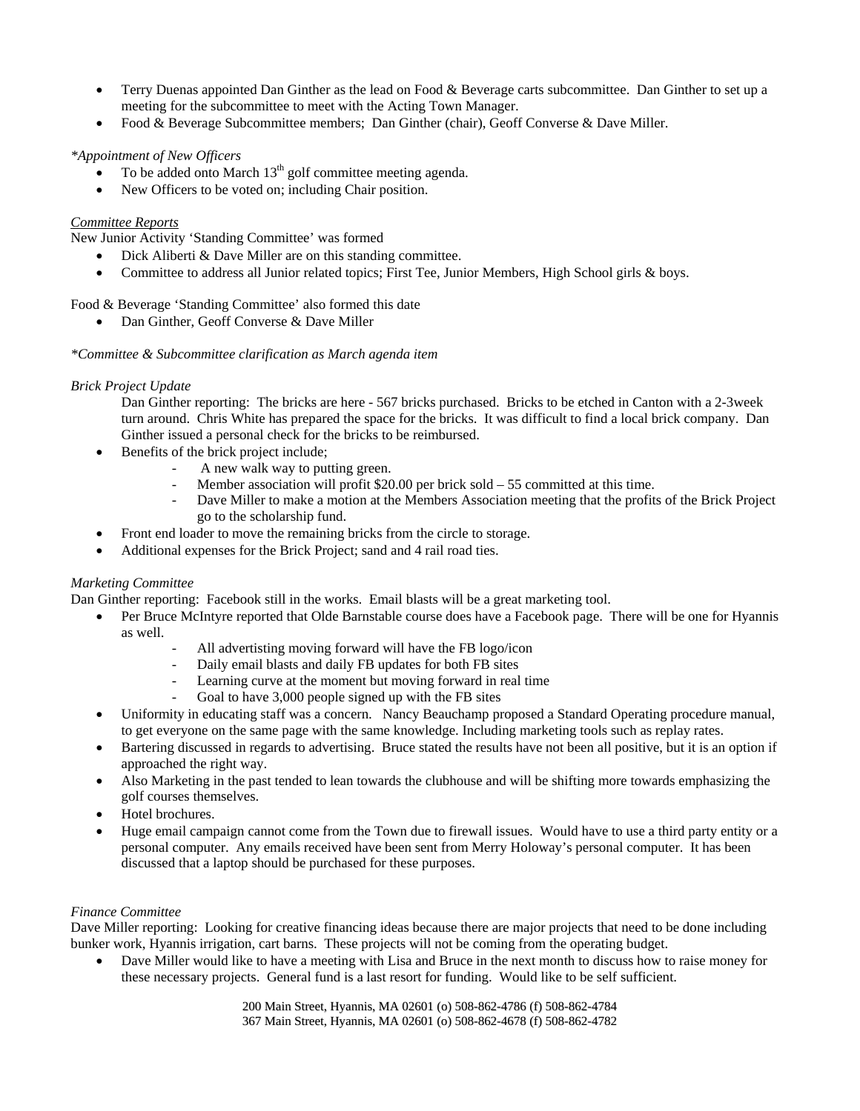- Terry Duenas appointed Dan Ginther as the lead on Food & Beverage carts subcommittee. Dan Ginther to set up a meeting for the subcommittee to meet with the Acting Town Manager.
- Food & Beverage Subcommittee members; Dan Ginther (chair), Geoff Converse & Dave Miller.

## *\*Appointment of New Officers*

- To be added onto March  $13<sup>th</sup>$  golf committee meeting agenda.
- New Officers to be voted on; including Chair position.

## *Committee Reports*

New Junior Activity 'Standing Committee' was formed

- Dick Aliberti & Dave Miller are on this standing committee.
- Committee to address all Junior related topics; First Tee, Junior Members, High School girls & boys.

## Food & Beverage 'Standing Committee' also formed this date

Dan Ginther, Geoff Converse & Dave Miller

#### *\*Committee & Subcommittee clarification as March agenda item*

## *Brick Project Update*

Dan Ginther reporting: The bricks are here - 567 bricks purchased. Bricks to be etched in Canton with a 2-3week turn around. Chris White has prepared the space for the bricks. It was difficult to find a local brick company. Dan Ginther issued a personal check for the bricks to be reimbursed.

- Benefits of the brick project include;
	- A new walk way to putting green.
	- Member association will profit  $$20.00$  per brick sold 55 committed at this time.
	- Dave Miller to make a motion at the Members Association meeting that the profits of the Brick Project go to the scholarship fund.
- Front end loader to move the remaining bricks from the circle to storage.
- Additional expenses for the Brick Project; sand and 4 rail road ties.

# *Marketing Committee*

Dan Ginther reporting: Facebook still in the works. Email blasts will be a great marketing tool.

- Per Bruce McIntyre reported that Olde Barnstable course does have a Facebook page. There will be one for Hyannis as well.
	- All advertisting moving forward will have the FB logo/icon
	- Daily email blasts and daily FB updates for both FB sites
	- Learning curve at the moment but moving forward in real time
	- Goal to have 3,000 people signed up with the FB sites
- Uniformity in educating staff was a concern. Nancy Beauchamp proposed a Standard Operating procedure manual, to get everyone on the same page with the same knowledge. Including marketing tools such as replay rates.
- Bartering discussed in regards to advertising. Bruce stated the results have not been all positive, but it is an option if approached the right way.
- Also Marketing in the past tended to lean towards the clubhouse and will be shifting more towards emphasizing the golf courses themselves.
- Hotel brochures.
- Huge email campaign cannot come from the Town due to firewall issues. Would have to use a third party entity or a personal computer. Any emails received have been sent from Merry Holoway's personal computer. It has been discussed that a laptop should be purchased for these purposes.

#### *Finance Committee*

Dave Miller reporting: Looking for creative financing ideas because there are major projects that need to be done including bunker work, Hyannis irrigation, cart barns. These projects will not be coming from the operating budget.

 Dave Miller would like to have a meeting with Lisa and Bruce in the next month to discuss how to raise money for these necessary projects. General fund is a last resort for funding. Would like to be self sufficient.

> 200 Main Street, Hyannis, MA 02601 (o) 508-862-4786 (f) 508-862-4784 367 Main Street, Hyannis, MA 02601 (o) 508-862-4678 (f) 508-862-4782